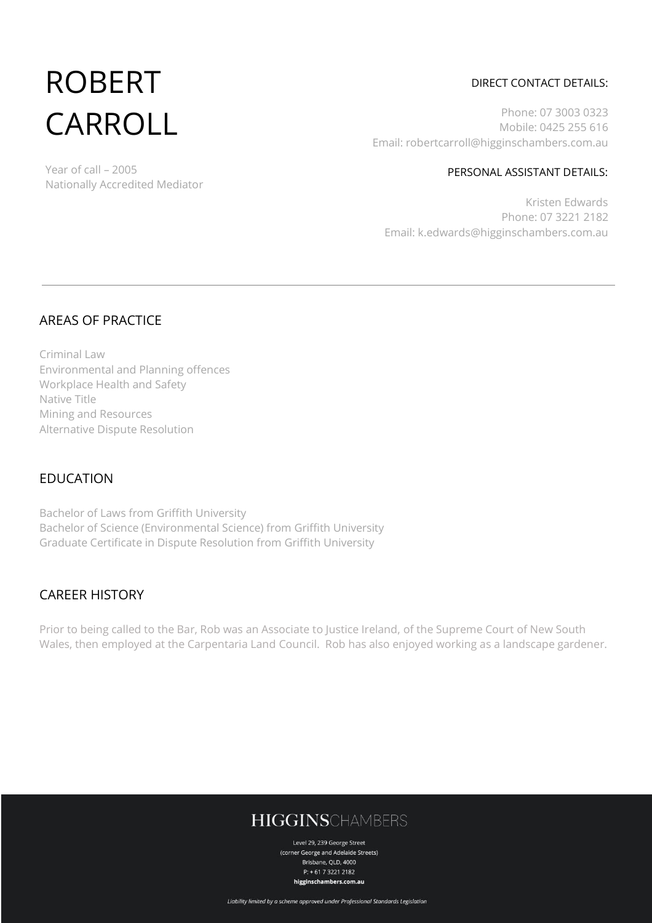# ROBERT CARROLL

Nationally Accredited Mediator

Year of call – 2005

#### DIRECT CONTACT DETAILS:

Phone: 07 3003 0323 Mobile: 0425 255 616 Email: robertcarroll@higginschambers.com.au

PERSONAL ASSISTANT DETAILS:

Kristen Edwards Phone: 07 3221 2182 Email: k.edwards@higginschambers.com.au

#### AREAS OF PRACTICE

Criminal Law Environmental and Planning offences Workplace Health and Safety Native Title Mining and Resources Alternative Dispute Resolution

#### EDUCATION

Bachelor of Laws from Griffith University Bachelor of Science (Environmental Science) from Griffith University Graduate Certificate in Dispute Resolution from Griffith University

#### CAREER HISTORY

Prior to being called to the Bar, Rob was an Associate to Justice Ireland, of the Supreme Court of New South Wales, then employed at the Carpentaria Land Council. Rob has also enjoyed working as a landscape gardener.

## **HIGGINSCHAMBERS**

Level 29, 239 George Street (corner George and Adelaide Streets) Brisbane, QLD, 4000  $P: +61732212182$ higginschambers.com.au

Liability limited by a scheme approved under Professional Standards Legislation